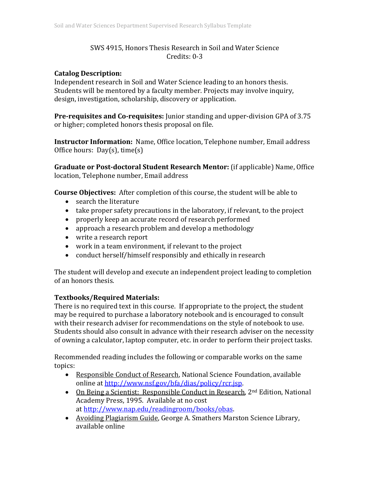# SWS 4915, Honors Thesis Research in Soil and Water Science Credits: 0-3

## **Catalog Description:**

Independent research in Soil and Water Science leading to an honors thesis. Students will be mentored by a faculty member. Projects may involve inquiry, design, investigation, scholarship, discovery or application.

**Pre-requisites and Co-requisites:** Junior standing and upper-division GPA of 3.75 or higher; completed honors thesis proposal on file.

**Instructor Information:** Name, Office location, Telephone number, Email address Office hours: Day(s), time(s)

**Graduate or Post-doctoral Student Research Mentor:** (if applicable) Name, Office location, Telephone number, Email address

**Course Objectives:** After completion of this course, the student will be able to

- search the literature
- take proper safety precautions in the laboratory, if relevant, to the project
- properly keep an accurate record of research performed
- approach a research problem and develop a methodology
- write a research report
- work in a team environment, if relevant to the project
- conduct herself/himself responsibly and ethically in research

The student will develop and execute an independent project leading to completion of an honors thesis.

# **Textbooks/Required Materials:**

There is no required text in this course. If appropriate to the project, the student may be required to purchase a laboratory notebook and is encouraged to consult with their research adviser for recommendations on the style of notebook to use. Students should also consult in advance with their research adviser on the necessity of owning a calculator, laptop computer, etc. in order to perform their project tasks.

Recommended reading includes the following or comparable works on the same topics:

- Responsible Conduct of Research, National Science Foundation, available online at [http://www.nsf.gov/bfa/dias/policy/rcr.jsp.](http://www.nsf.gov/bfa/dias/policy/rcr.jsp)
- On Being a Scientist: Responsible Conduct in Research, 2<sup>nd</sup> Edition, National Academy Press, 1995. Available at no cost at [http://www.nap.edu/readingroom/books/obas.](http://www.nap.edu/readingroom/books/obas)
- Avoiding Plagiarism Guide, George A. Smathers Marston Science Library, available online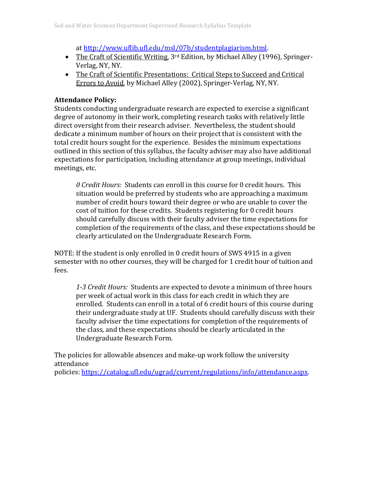at [http://www.uflib.ufl.edu/msl/07b/studentplagiarism.html.](http://www.uflib.ufl.edu/msl/07b/studentplagiarism.html)

- The Craft of Scientific Writing, 3<sup>rd</sup> Edition, by Michael Alley (1996), Springer-Verlag, NY, NY.
- The Craft of Scientific Presentations: Critical Steps to Succeed and Critical Errors to Avoid, by Michael Alley (2002), Springer-Verlag, NY, NY.

## **Attendance Policy:**

Students conducting undergraduate research are expected to exercise a significant degree of autonomy in their work, completing research tasks with relatively little direct oversight from their research adviser. Nevertheless, the student should dedicate a minimum number of hours on their project that is consistent with the total credit hours sought for the experience. Besides the minimum expectations outlined in this section of this syllabus, the faculty adviser may also have additional expectations for participation, including attendance at group meetings, individual meetings, etc.

*0 Credit Hours:* Students can enroll in this course for 0 credit hours. This situation would be preferred by students who are approaching a maximum number of credit hours toward their degree or who are unable to cover the cost of tuition for these credits. Students registering for 0 credit hours should carefully discuss with their faculty adviser the time expectations for completion of the requirements of the class, and these expectations should be clearly articulated on the Undergraduate Research Form.

NOTE: If the student is only enrolled in 0 credit hours of SWS 4915 in a given semester with no other courses, they will be charged for 1 credit hour of tuition and fees.

*1-3 Credit Hours:* Students are expected to devote a minimum of three hours per week of actual work in this class for each credit in which they are enrolled. Students can enroll in a total of 6 credit hours of this course during their undergraduate study at UF. Students should carefully discuss with their faculty adviser the time expectations for completion of the requirements of the class, and these expectations should be clearly articulated in the Undergraduate Research Form.

The policies for allowable absences and make-up work follow the university attendance

policies: [https://catalog.ufl.edu/ugrad/current/regulations/info/attendance.aspx.](https://catalog.ufl.edu/ugrad/current/regulations/info/attendance.aspx)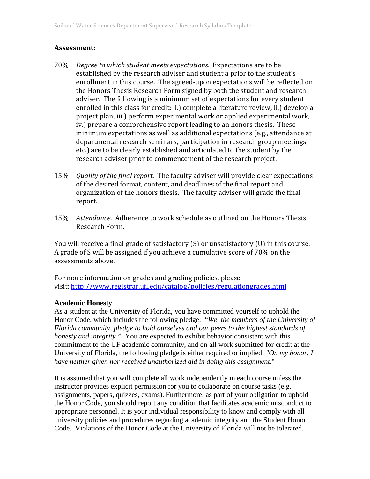## **Assessment:**

- 70% *Degree to which student meets expectations.* Expectations are to be established by the research adviser and student a prior to the student's enrollment in this course. The agreed-upon expectations will be reflected on the Honors Thesis Research Form signed by both the student and research adviser. The following is a minimum set of expectations for every student enrolled in this class for credit: i.) complete a literature review, ii.) develop a project plan, iii.) perform experimental work or applied experimental work, iv.) prepare a comprehensive report leading to an honors thesis. These minimum expectations as well as additional expectations (e.g., attendance at departmental research seminars, participation in research group meetings, etc.) are to be clearly established and articulated to the student by the research adviser prior to commencement of the research project.
- 15% *Quality of the final report.* The faculty adviser will provide clear expectations of the desired format, content, and deadlines of the final report and organization of the honors thesis. The faculty adviser will grade the final report.
- 15% *Attendance.* Adherence to work schedule as outlined on the Honors Thesis Research Form.

You will receive a final grade of satisfactory (S) or unsatisfactory (U) in this course. A grade of S will be assigned if you achieve a cumulative score of 70% on the assessments above.

For more information on grades and grading policies, please visit[: http://www.registrar.ufl.edu/catalog/policies/regulationgrades.html](http://www.registrar.ufl.edu/catalog/policies/regulationgrades.html)

## **Academic Honesty**

As a student at the University of Florida, you have committed yourself to uphold the Honor Code, which includes the following pledge: "*We, the members of the University of Florida community, pledge to hold ourselves and our peers to the highest standards of honesty and integrity."* You are expected to exhibit behavior consistent with this commitment to the UF academic community, and on all work submitted for credit at the University of Florida, the following pledge is either required or implied: *"On my honor, I have neither given nor received unauthorized aid in doing this assignment*."

It is assumed that you will complete all work independently in each course unless the instructor provides explicit permission for you to collaborate on course tasks (e.g. assignments, papers, quizzes, exams). Furthermore, as part of your obligation to uphold the Honor Code, you should report any condition that facilitates academic misconduct to appropriate personnel. It is your individual responsibility to know and comply with all university policies and procedures regarding academic integrity and the Student Honor Code. Violations of the Honor Code at the University of Florida will not be tolerated.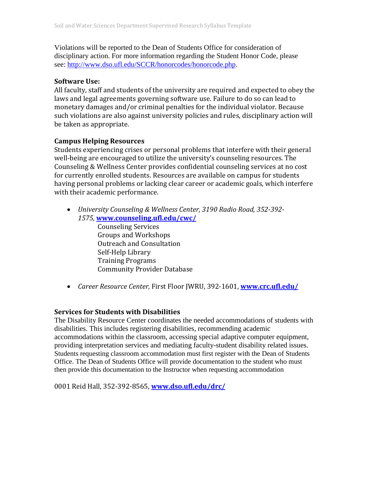Violations will be reported to the Dean of Students Office for consideration of disciplinary action. For more information regarding the Student Honor Code, please see: [http://www.dso.ufl.edu/SCCR/honorcodes/honorcode.php.](http://www.dso.ufl.edu/SCCR/honorcodes/honorcode.php)

### **Software Use:**

All faculty, staff and students of the university are required and expected to obey the laws and legal agreements governing software use. Failure to do so can lead to monetary damages and/or criminal penalties for the individual violator. Because such violations are also against university policies and rules, disciplinary action will be taken as appropriate.

### **Campus Helping Resources**

Students experiencing crises or personal problems that interfere with their general well-being are encouraged to utilize the university's counseling resources. The Counseling & Wellness Center provides confidential counseling services at no cost for currently enrolled students. Resources are available on campus for students having personal problems or lacking clear career or academic goals, which interfere with their academic performance.

• *University Counseling & Wellness Center, 3190 Radio Road, 352-392- 1575,* **[www.counseling.ufl.edu/cwc/](http://www.counseling.ufl.edu/cwc/)**

Counseling Services Groups and Workshops Outreach and Consultation Self-Help Library Training Programs Community Provider Database

• *Career Resource Center,* First Floor JWRU, 392-1601, **[www.crc.ufl.edu/](http://www.crc.ufl.edu/)**

## **Services for Students with Disabilities**

The Disability Resource Center coordinates the needed accommodations of students with disabilities. This includes registering disabilities, recommending academic accommodations within the classroom, accessing special adaptive computer equipment, providing interpretation services and mediating faculty-student disability related issues. Students requesting classroom accommodation must first register with the Dean of Students Office. The Dean of Students Office will provide documentation to the student who must then provide this documentation to the Instructor when requesting accommodation

0001 Reid Hall, 352-392-8565, **[www.dso.ufl.edu/drc/](http://www.dso.ufl.edu/drc/)**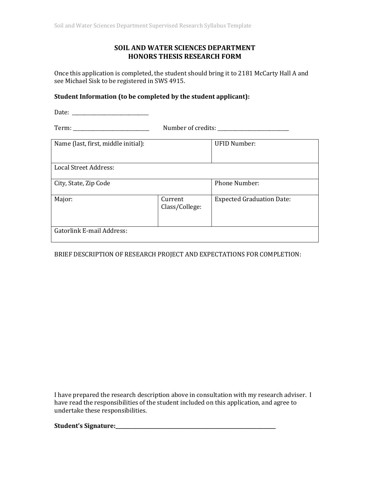### **SOIL AND WATER SCIENCES DEPARTMENT HONORS THESIS RESEARCH FORM**

Once this application is completed, the student should bring it to 2181 McCarty Hall A and see Michael Sisk to be registered in SWS 4915.

### **Student Information (to be completed by the student applicant):**

Date: \_\_\_\_\_\_\_\_\_\_\_\_\_\_\_\_\_\_\_\_\_\_\_\_\_\_\_\_\_\_\_

Term: \_\_\_\_\_\_\_\_\_\_\_\_\_\_\_\_\_\_\_\_\_\_\_\_\_\_\_\_\_\_\_ Number of credits: \_\_\_\_\_\_\_\_\_\_\_\_\_\_\_\_\_\_\_\_\_\_\_\_\_\_\_\_\_

| Name (last, first, middle initial): |                           | <b>UFID Number:</b>              |
|-------------------------------------|---------------------------|----------------------------------|
| Local Street Address:               |                           |                                  |
| City, State, Zip Code               |                           | <b>Phone Number:</b>             |
| Major:                              | Current<br>Class/College: | <b>Expected Graduation Date:</b> |
| Gatorlink E-mail Address:           |                           |                                  |

### BRIEF DESCRIPTION OF RESEARCH PROJECT AND EXPECTATIONS FOR COMPLETION:

I have prepared the research description above in consultation with my research adviser. I have read the responsibilities of the student included on this application, and agree to undertake these responsibilities.

**Student's Signature:\_\_\_\_\_\_\_\_\_\_\_\_\_\_\_\_\_\_\_\_\_\_\_\_\_\_\_\_\_\_\_\_\_\_\_\_\_\_\_\_\_\_\_\_\_\_\_\_\_\_\_\_\_\_\_\_\_\_\_\_\_\_\_\_\_**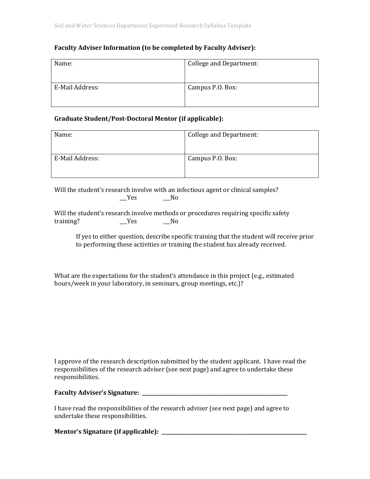### **Faculty Adviser Information (to be completed by Faculty Adviser):**

| Name:           | College and Department: |
|-----------------|-------------------------|
| E-Mail Address: | Campus P.O. Box:        |

#### **Graduate Student/Post-Doctoral Mentor (if applicable):**

| Name:           | <b>College and Department:</b> |
|-----------------|--------------------------------|
| E-Mail Address: | Campus P.O. Box:               |
|                 |                                |

Will the student's research involve with an infectious agent or clinical samples?<br>
No Settlement of the student's research involve with an infectious agent or clinical samples?  $N<sub>o</sub>$ 

Will the student's research involve methods or procedures requiring specific safety  $Yes$  No

If yes to either question, describe specific training that the student will receive prior to performing these activities or training the student has already received.

What are the expectations for the student's attendance in this project (e.g., estimated hours/week in your laboratory, in seminars, group meetings, etc.)?

I approve of the research description submitted by the student applicant. I have read the responsibilities of the research adviser (see next page) and agree to undertake these responsibilities.

| <b>Faculty Adviser's Signature:</b> |  |
|-------------------------------------|--|
|                                     |  |

I have read the responsibilities of the research adviser (see next page) and agree to undertake these responsibilities.

**Mentor's Signature (if applicable): \_\_\_\_\_\_\_\_\_\_\_\_\_\_\_\_\_\_\_\_\_\_\_\_\_\_\_\_\_\_\_\_\_\_\_\_\_\_\_\_\_\_\_\_\_\_\_\_\_\_\_\_\_\_\_\_\_\_\_**